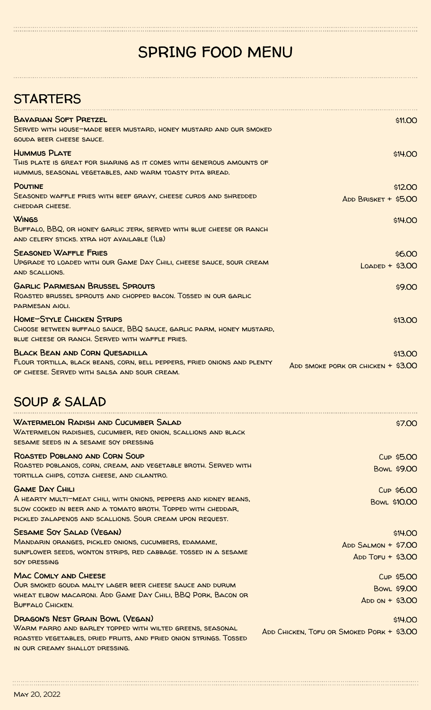## SPRING FOOD MENU

. Kaan kaan kanaan kanaan kanaan kanaan kanaan kanaan kanaan kanaan kanaan kanaan kanaan kanaan kanaan kanaan<br>Tanan kanaan kanaan kanaan kanaan kanaan kanaan kanaan kanaan kanaan kanaan kanaan kanaan kanaan kanaan kanaan

| <b>STARTERS</b>                                                                                                                                                                                                         |                                                       |
|-------------------------------------------------------------------------------------------------------------------------------------------------------------------------------------------------------------------------|-------------------------------------------------------|
| <b>BAVARIAN SOFT PRETZEL</b><br>SERVED WITH HOUSE-MADE BEER MUSTARD, HONEY MUSTARD AND OUR SMOKED<br><b>GOUDA BEER CHEESE SAUCE.</b>                                                                                    | \$11.00                                               |
| <b>HUMMUS PLATE</b><br>THIS PLATE IS GREAT FOR SHARING AS IT COMES WITH GENEROUS AMOUNTS OF<br>HUMMUS, SEASONAL VEGETABLES, AND WARM TOASTY PITA BREAD.                                                                 | \$14.00                                               |
| <b>POUTINE</b><br>SEASONED WAFFLE FRIES WITH BEEF GRAVY, CHEESE CURDS AND SHREDDED<br>CHEDDAR CHEESE.                                                                                                                   | \$12.00<br>ADD BRISKET + \$5.00                       |
| <b>WINGS</b><br>BUFFALO, BBQ, OR HONEY GARLIC JERK, SERVED WITH BLUE CHEESE OR RANCH<br>AND CELERY STICKS. XTRA HOT AVAILABLE (1LB)                                                                                     | \$14.00                                               |
| <b>SEASONED WAFFLE FRIES</b><br>UPGRADE TO LOADED WITH OUR GAME DAY CHILI, CHEESE SAUCE, SOUR CREAM<br><b>AND SCALLIONS.</b>                                                                                            | \$6.00<br>$L$ $Q$ $Q$ $D$ $E$ $D$ + \$3.00            |
| <b>GARLIC PARMESAN BRUSSEL SPROUTS</b><br>ROASTED BRUSSEL SPROUTS AND CHOPPED BACON. TOSSED IN OUR GARLIC<br>PARMESAN AIOLI.                                                                                            | \$9.00                                                |
| <b>HOME-STYLE CHICKEN STRIPS</b><br>CHOOSE BETWEEN BUFFALO SAUCE, BBQ SAUCE, GARLIC PARM, HONEY MUSTARD,<br>BLUE CHEESE OR RANCH. SERVED WITH WAFFLE FRIES.                                                             | \$13.00                                               |
| <b>BLACK BEAN AND CORN QUESADILLA</b><br>FLOUR TORTILLA, BLACK BEANS, CORN, BELL PEPPERS, FRIED ONIONS AND PLENTY<br>OF CHEESE. SERVED WITH SALSA AND SOUR CREAM.                                                       | \$13.00<br>ADD SMOKE PORK OR CHICKEN $+$ \$3.00       |
| <b>SOUP &amp; SALAD</b>                                                                                                                                                                                                 |                                                       |
| <b>WATERMELON RADISH AND CUCUMBER SALAD</b><br>WATERMELON RADISHES, CUCUMBER, RED ONION, SCALLIONS AND BLACK<br>SESAME SEEDS IN A SESAME SOY DRESSING                                                                   | \$7.00                                                |
| ROASTED POBLANO AND CORN SOUP<br>ROASTED POBLANOS, CORN, CREAM, AND VEGETABLE BROTH. SERVED WITH<br>TORTILLA CHIPS, COTIJA CHEESE, AND CILANTRO.                                                                        | Cup \$5.00<br><b>BOWL \$9.00</b>                      |
| <b>GAME DAY CHILI</b><br>A HEARTY MULTI-MEAT CHILI, WITH ONIONS, PEPPERS AND KIDNEY BEANS,<br>SLOW COOKED IN BEER AND A TOMATO BROTH. TOPPED WITH CHEDDAR,<br>PICKLED JALAPENOS AND SCALLIONS. SOUR CREAM UPON REQUEST. | Cup \$6.00<br>BOWL \$10.00                            |
| <b>SESAME SOY SALAD (VEGAN)</b><br>MANDARIN ORANGES, PICKLED ONIONS, CUCUMBERS, EDAMAME,<br>SUNFLOWER SEEDS, WONTON STRIPS, RED CABBAGE. TOSSED IN A SESAME<br><b>SOY DRESSING</b>                                      | \$14.00<br>ADD SALMON + \$7.00<br>$ADD$ Toru + \$3.00 |
| <b>MAC COMLY AND CHEESE</b><br>OUR SMOKED GOUDA MALTY LAGER BEER CHEESE SAUCE AND DURUM<br>WHEAT ELBOW MACARONI. ADD GAME DAY CHILI, BBQ PORK, BACON OR<br>BUFFALO CHICKEN.                                             | Cup \$5.00<br>BOWL \$9.00<br>$ADD ON + $3.00$         |
| DRAGON'S NEST GRAIN BOWL (VEGAN)<br>WARM FARRO AND BARLEY TOPPED WITH WILTED GREENS, SEASONAL<br>ROASTED VEGETABLES, DRIED FRUITS, AND FRIED ONION STRINGS. TOSSED<br>IN OUR CREAMY SHALLOT DRESSING.                   | \$14.00<br>ADD CHICKEN, TOFU OR SMOKED PORK + \$3.00  |